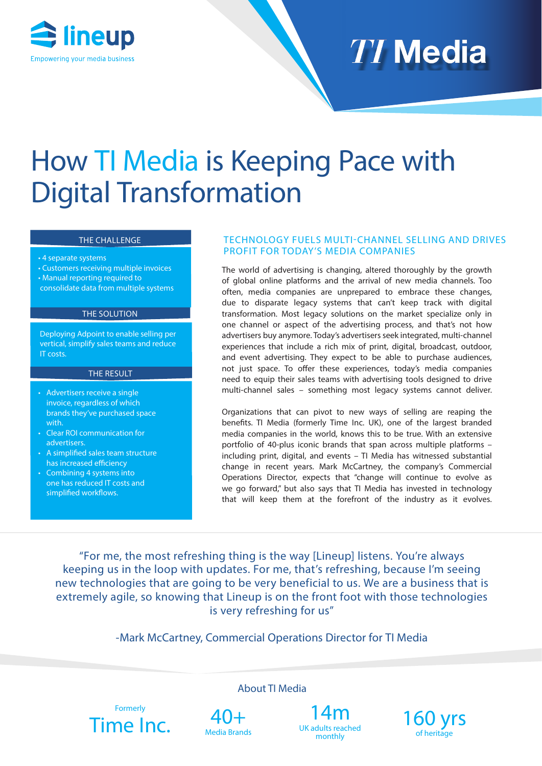

# **TI Media**

## How TI Media is Keeping Pace with Digital Transformation

#### THE CHALLENGE

- 4 separate systems
- Customers receiving multiple invoices
- Manual reporting required to consolidate data from multiple systems

#### THE SOLUTION

Deploying Adpoint to enable selling per vertical, simplify sales teams and reduce IT costs.

#### THE RESULT

- Advertisers receive a single invoice, regardless of which brands they've purchased space with.
- Clear ROI communication for advertisers.
- A simplified sales team structure has increased efficiency
- Combining 4 systems into one has reduced IT costs and simplified workflows.

#### TECHNOLOGY FUELS MULTI-CHANNEL SELLING AND DRIVES PROFIT FOR TODAY'S MEDIA COMPANIES

The world of advertising is changing, altered thoroughly by the growth of global online platforms and the arrival of new media channels. Too often, media companies are unprepared to embrace these changes, due to disparate legacy systems that can't keep track with digital transformation. Most legacy solutions on the market specialize only in one channel or aspect of the advertising process, and that's not how advertisers buy anymore. Today's advertisers seek integrated, multi-channel experiences that include a rich mix of print, digital, broadcast, outdoor, and event advertising. They expect to be able to purchase audiences, not just space. To offer these experiences, today's media companies need to equip their sales teams with advertising tools designed to drive multi-channel sales – something most legacy systems cannot deliver.

Organizations that can pivot to new ways of selling are reaping the benefits. TI Media (formerly Time Inc. UK), one of the largest branded media companies in the world, knows this to be true. With an extensive portfolio of 40-plus iconic brands that span across multiple platforms – including print, digital, and events – TI Media has witnessed substantial change in recent years. Mark McCartney, the company's Commercial Operations Director, expects that "change will continue to evolve as we go forward," but also says that TI Media has invested in technology that will keep them at the forefront of the industry as it evolves.

"For me, the most refreshing thing is the way [Lineup] listens. You're always keeping us in the loop with updates. For me, that's refreshing, because I'm seeing new technologies that are going to be very beneficial to us. We are a business that is extremely agile, so knowing that Lineup is on the front foot with those technologies is very refreshing for us"

-Mark McCartney, Commercial Operations Director for TI Media

About TI Media





UK adults reached monthly

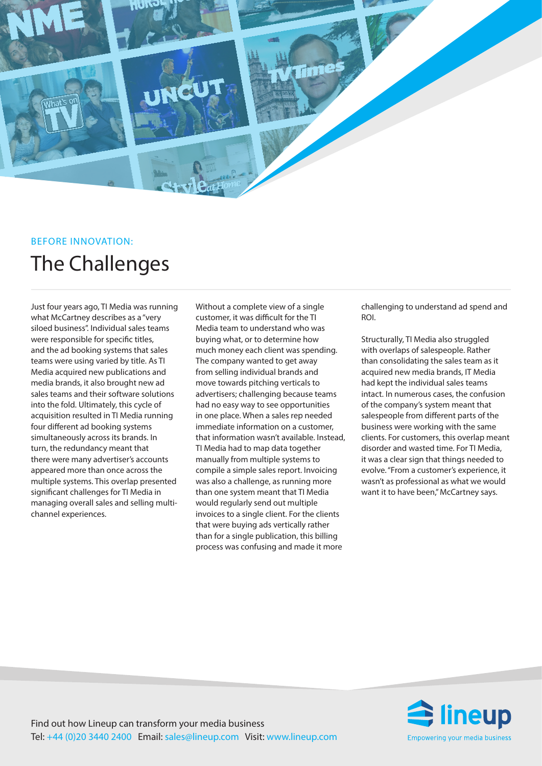

### BEFORE INNOVATION: The Challenges

Just four years ago, TI Media was running what McCartney describes as a "very siloed business". Individual sales teams were responsible for specific titles, and the ad booking systems that sales teams were using varied by title. As TI Media acquired new publications and media brands, it also brought new ad sales teams and their software solutions into the fold. Ultimately, this cycle of acquisition resulted in TI Media running four different ad booking systems simultaneously across its brands. In turn, the redundancy meant that there were many advertiser's accounts appeared more than once across the multiple systems. This overlap presented significant challenges for TI Media in managing overall sales and selling multichannel experiences.

Without a complete view of a single customer, it was difficult for the TI Media team to understand who was buying what, or to determine how much money each client was spending. The company wanted to get away from selling individual brands and move towards pitching verticals to advertisers; challenging because teams had no easy way to see opportunities in one place. When a sales rep needed immediate information on a customer, that information wasn't available. Instead, TI Media had to map data together manually from multiple systems to compile a simple sales report. Invoicing was also a challenge, as running more than one system meant that TI Media would regularly send out multiple invoices to a single client. For the clients that were buying ads vertically rather than for a single publication, this billing process was confusing and made it more

challenging to understand ad spend and ROI.

Structurally, TI Media also struggled with overlaps of salespeople. Rather than consolidating the sales team as it acquired new media brands, IT Media had kept the individual sales teams intact. In numerous cases, the confusion of the company's system meant that salespeople from different parts of the business were working with the same clients. For customers, this overlap meant disorder and wasted time. For TI Media, it was a clear sign that things needed to evolve. "From a customer's experience, it wasn't as professional as what we would want it to have been," McCartney says.